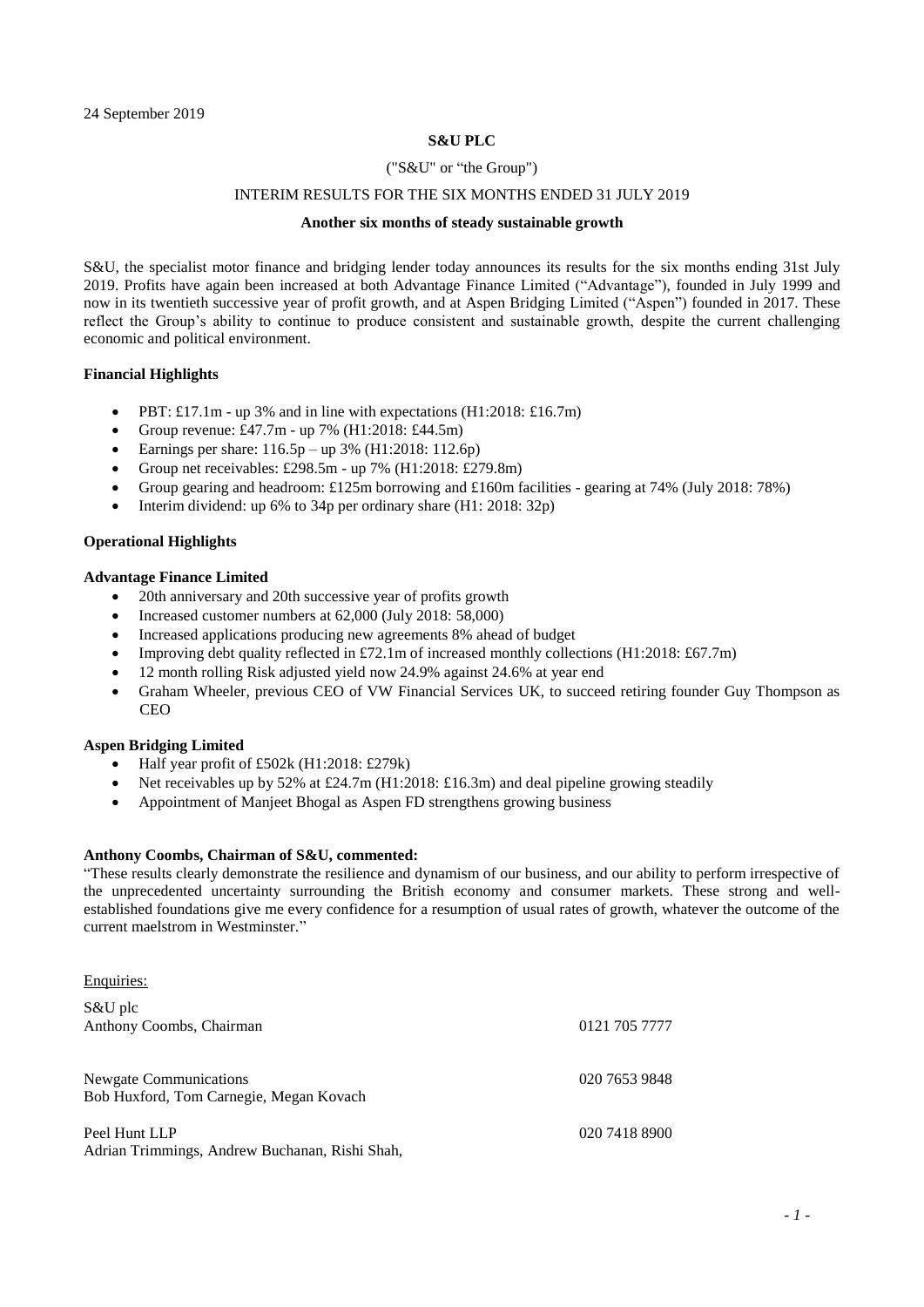# **S&U PLC**

# ("S&U" or "the Group")

## INTERIM RESULTS FOR THE SIX MONTHS ENDED 31 JULY 2019

#### **Another six months of steady sustainable growth**

S&U, the specialist motor finance and bridging lender today announces its results for the six months ending 31st July 2019. Profits have again been increased at both Advantage Finance Limited ("Advantage"), founded in July 1999 and now in its twentieth successive year of profit growth, and at Aspen Bridging Limited ("Aspen") founded in 2017. These reflect the Group's ability to continue to produce consistent and sustainable growth, despite the current challenging economic and political environment.

## **Financial Highlights**

- PBT: £17.1m up 3% and in line with expectations (H1:2018: £16.7m)
- Group revenue: £47.7m up 7% (H1:2018: £44.5m)
- Earnings per share:  $116.5p up 3% (H1:2018: 112.6p)$
- Group net receivables: £298.5m up 7% (H1:2018: £279.8m)
- Group gearing and headroom: £125m borrowing and £160m facilities gearing at 74% (July 2018: 78%)
- Interim dividend: up 6% to 34p per ordinary share (H1: 2018: 32p)

# **Operational Highlights**

## **Advantage Finance Limited**

- 20th anniversary and 20th successive year of profits growth
- Increased customer numbers at 62,000 (July 2018: 58,000)
- Increased applications producing new agreements 8% ahead of budget
- Improving debt quality reflected in £72.1m of increased monthly collections (H1:2018: £67.7m)
- 12 month rolling Risk adjusted yield now 24.9% against 24.6% at year end
- Graham Wheeler, previous CEO of VW Financial Services UK, to succeed retiring founder Guy Thompson as CEO

## **Aspen Bridging Limited**

- Half year profit of £502k (H1:2018: £279k)
- Net receivables up by 52% at £24.7m (H1:2018: £16.3m) and deal pipeline growing steadily
- Appointment of Manjeet Bhogal as Aspen FD strengthens growing business

## **Anthony Coombs, Chairman of S&U, commented:**

"These results clearly demonstrate the resilience and dynamism of our business, and our ability to perform irrespective of the unprecedented uncertainty surrounding the British economy and consumer markets. These strong and wellestablished foundations give me every confidence for a resumption of usual rates of growth, whatever the outcome of the current maelstrom in Westminster."

Enquiries: S&U plc Anthony Coombs, Chairman 0121 705 7777 Newgate Communications 020 7653 9848 Bob Huxford, Tom Carnegie, Megan Kovach Peel Hunt LLP 020 7418 8900 Adrian Trimmings, Andrew Buchanan, Rishi Shah,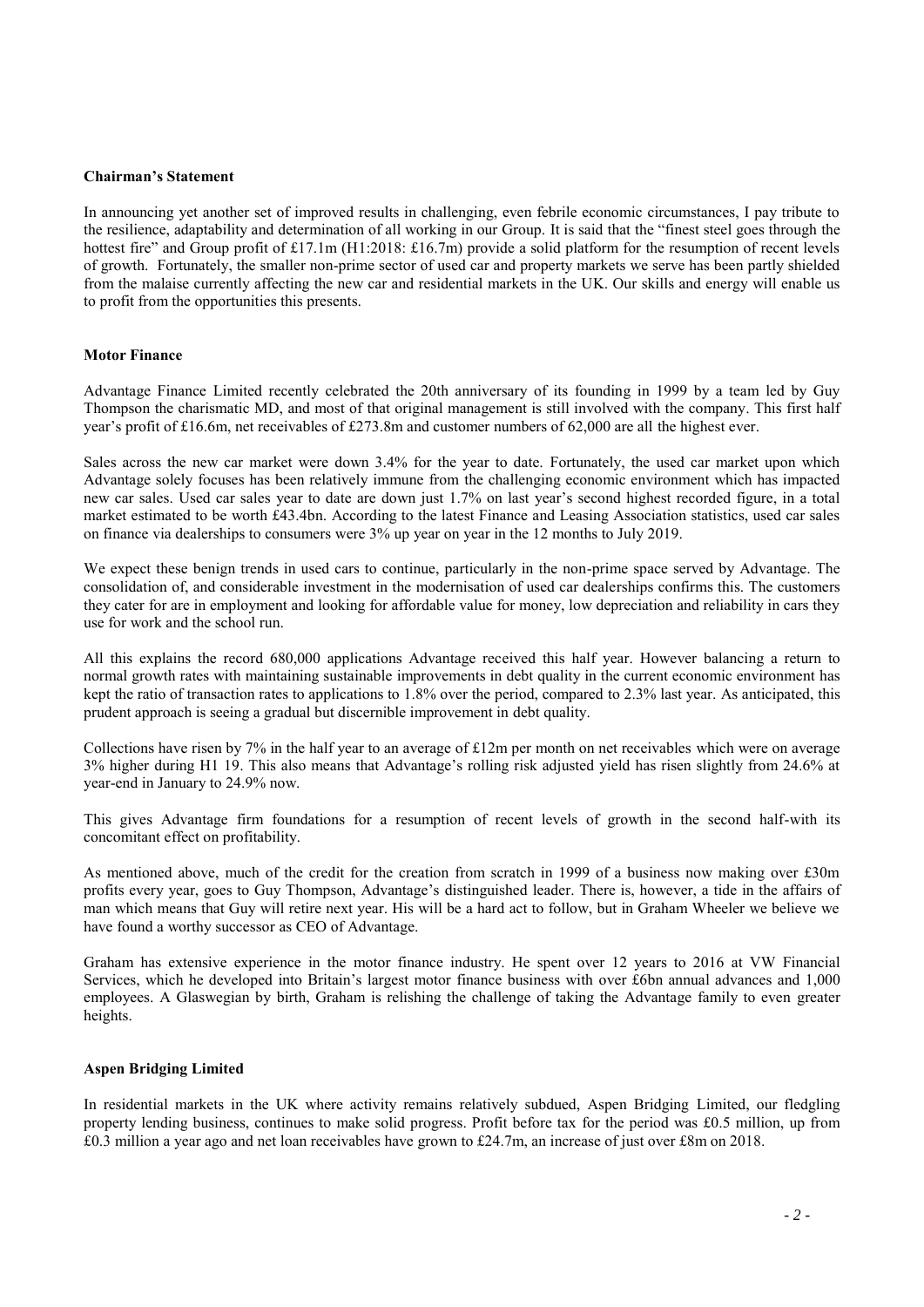#### **Chairman's Statement**

In announcing yet another set of improved results in challenging, even febrile economic circumstances, I pay tribute to the resilience, adaptability and determination of all working in our Group. It is said that the "finest steel goes through the hottest fire" and Group profit of £17.1m (H1:2018: £16.7m) provide a solid platform for the resumption of recent levels of growth. Fortunately, the smaller non-prime sector of used car and property markets we serve has been partly shielded from the malaise currently affecting the new car and residential markets in the UK. Our skills and energy will enable us to profit from the opportunities this presents.

#### **Motor Finance**

Advantage Finance Limited recently celebrated the 20th anniversary of its founding in 1999 by a team led by Guy Thompson the charismatic MD, and most of that original management is still involved with the company. This first half year's profit of £16.6m, net receivables of £273.8m and customer numbers of 62,000 are all the highest ever.

Sales across the new car market were down 3.4% for the year to date. Fortunately, the used car market upon which Advantage solely focuses has been relatively immune from the challenging economic environment which has impacted new car sales. Used car sales year to date are down just 1.7% on last year's second highest recorded figure, in a total market estimated to be worth £43.4bn. According to the latest Finance and Leasing Association statistics, used car sales on finance via dealerships to consumers were 3% up year on year in the 12 months to July 2019.

We expect these benign trends in used cars to continue, particularly in the non-prime space served by Advantage. The consolidation of, and considerable investment in the modernisation of used car dealerships confirms this. The customers they cater for are in employment and looking for affordable value for money, low depreciation and reliability in cars they use for work and the school run.

All this explains the record 680,000 applications Advantage received this half year. However balancing a return to normal growth rates with maintaining sustainable improvements in debt quality in the current economic environment has kept the ratio of transaction rates to applications to 1.8% over the period, compared to 2.3% last year. As anticipated, this prudent approach is seeing a gradual but discernible improvement in debt quality.

Collections have risen by 7% in the half year to an average of £12m per month on net receivables which were on average 3% higher during H1 19. This also means that Advantage's rolling risk adjusted yield has risen slightly from 24.6% at year-end in January to 24.9% now.

This gives Advantage firm foundations for a resumption of recent levels of growth in the second half-with its concomitant effect on profitability.

As mentioned above, much of the credit for the creation from scratch in 1999 of a business now making over £30m profits every year, goes to Guy Thompson, Advantage's distinguished leader. There is, however, a tide in the affairs of man which means that Guy will retire next year. His will be a hard act to follow, but in Graham Wheeler we believe we have found a worthy successor as CEO of Advantage.

Graham has extensive experience in the motor finance industry. He spent over 12 years to 2016 at VW Financial Services, which he developed into Britain's largest motor finance business with over £6bn annual advances and 1,000 employees. A Glaswegian by birth, Graham is relishing the challenge of taking the Advantage family to even greater heights.

#### **Aspen Bridging Limited**

In residential markets in the UK where activity remains relatively subdued, Aspen Bridging Limited, our fledgling property lending business, continues to make solid progress. Profit before tax for the period was £0.5 million, up from £0.3 million a year ago and net loan receivables have grown to £24.7m, an increase of just over £8m on 2018.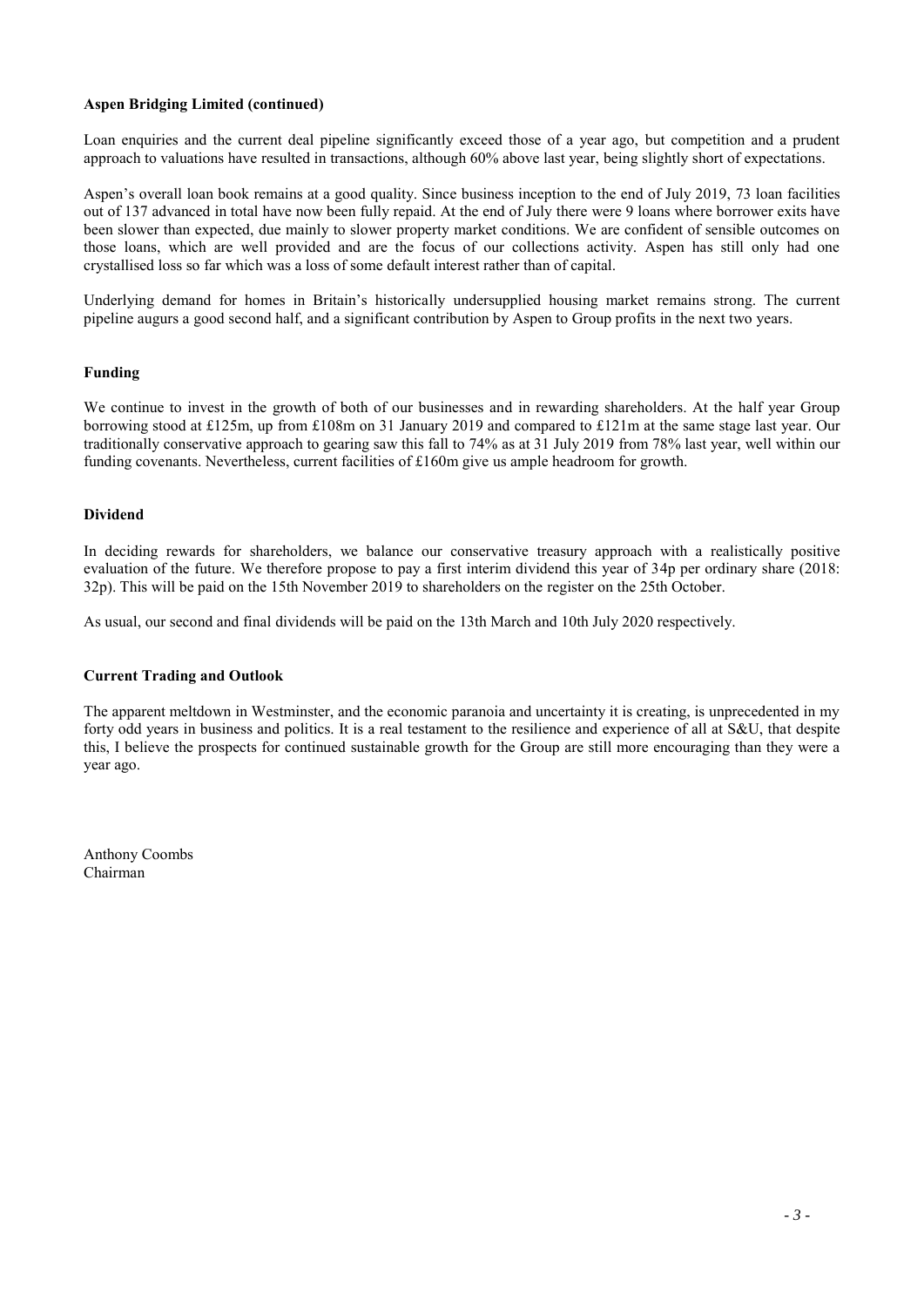# **Aspen Bridging Limited (continued)**

Loan enquiries and the current deal pipeline significantly exceed those of a year ago, but competition and a prudent approach to valuations have resulted in transactions, although 60% above last year, being slightly short of expectations.

Aspen's overall loan book remains at a good quality. Since business inception to the end of July 2019, 73 loan facilities out of 137 advanced in total have now been fully repaid. At the end of July there were 9 loans where borrower exits have been slower than expected, due mainly to slower property market conditions. We are confident of sensible outcomes on those loans, which are well provided and are the focus of our collections activity. Aspen has still only had one crystallised loss so far which was a loss of some default interest rather than of capital.

Underlying demand for homes in Britain's historically undersupplied housing market remains strong. The current pipeline augurs a good second half, and a significant contribution by Aspen to Group profits in the next two years.

# **Funding**

We continue to invest in the growth of both of our businesses and in rewarding shareholders. At the half year Group borrowing stood at £125m, up from £108m on 31 January 2019 and compared to £121m at the same stage last year. Our traditionally conservative approach to gearing saw this fall to 74% as at 31 July 2019 from 78% last year, well within our funding covenants. Nevertheless, current facilities of £160m give us ample headroom for growth.

# **Dividend**

In deciding rewards for shareholders, we balance our conservative treasury approach with a realistically positive evaluation of the future. We therefore propose to pay a first interim dividend this year of 34p per ordinary share (2018: 32p). This will be paid on the 15th November 2019 to shareholders on the register on the 25th October.

As usual, our second and final dividends will be paid on the 13th March and 10th July 2020 respectively.

## **Current Trading and Outlook**

The apparent meltdown in Westminster, and the economic paranoia and uncertainty it is creating, is unprecedented in my forty odd years in business and politics. It is a real testament to the resilience and experience of all at S&U, that despite this, I believe the prospects for continued sustainable growth for the Group are still more encouraging than they were a year ago.

Anthony Coombs Chairman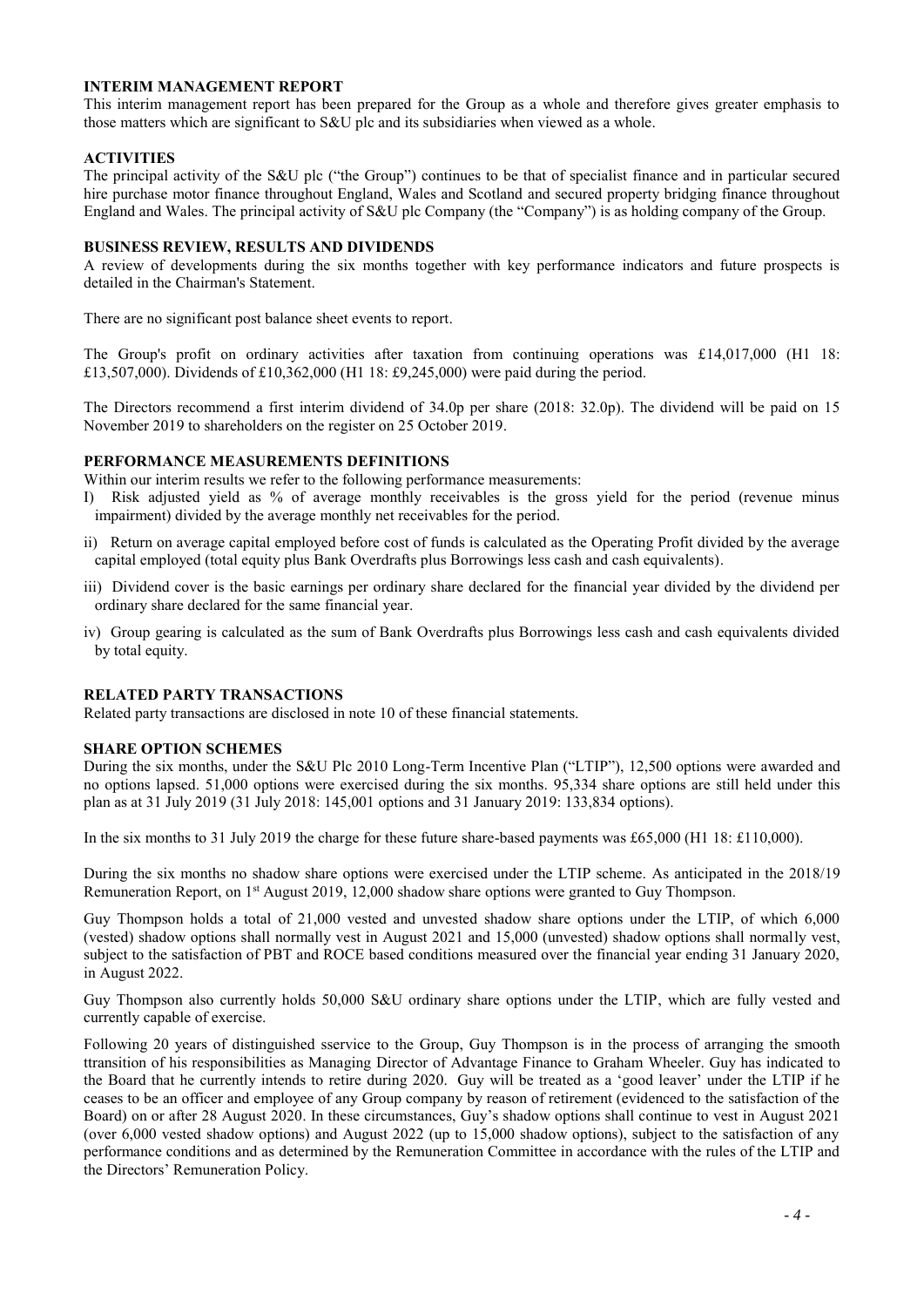# **INTERIM MANAGEMENT REPORT**

This interim management report has been prepared for the Group as a whole and therefore gives greater emphasis to those matters which are significant to S&U plc and its subsidiaries when viewed as a whole.

# **ACTIVITIES**

The principal activity of the S&U plc ("the Group") continues to be that of specialist finance and in particular secured hire purchase motor finance throughout England, Wales and Scotland and secured property bridging finance throughout England and Wales. The principal activity of S&U plc Company (the "Company") is as holding company of the Group.

#### **BUSINESS REVIEW, RESULTS AND DIVIDENDS**

A review of developments during the six months together with key performance indicators and future prospects is detailed in the Chairman's Statement.

There are no significant post balance sheet events to report.

The Group's profit on ordinary activities after taxation from continuing operations was £14,017,000 (H1 18: £13,507,000). Dividends of £10,362,000 (H1 18: £9,245,000) were paid during the period.

The Directors recommend a first interim dividend of 34.0p per share (2018: 32.0p). The dividend will be paid on 15 November 2019 to shareholders on the register on 25 October 2019.

#### **PERFORMANCE MEASUREMENTS DEFINITIONS**

Within our interim results we refer to the following performance measurements:

- I) Risk adjusted yield as % of average monthly receivables is the gross yield for the period (revenue minus impairment) divided by the average monthly net receivables for the period.
- ii) Return on average capital employed before cost of funds is calculated as the Operating Profit divided by the average capital employed (total equity plus Bank Overdrafts plus Borrowings less cash and cash equivalents).
- iii) Dividend cover is the basic earnings per ordinary share declared for the financial year divided by the dividend per ordinary share declared for the same financial year.
- iv) Group gearing is calculated as the sum of Bank Overdrafts plus Borrowings less cash and cash equivalents divided by total equity.

## **RELATED PARTY TRANSACTIONS**

Related party transactions are disclosed in note 10 of these financial statements.

#### **SHARE OPTION SCHEMES**

During the six months, under the S&U Plc 2010 Long-Term Incentive Plan ("LTIP"), 12,500 options were awarded and no options lapsed. 51,000 options were exercised during the six months. 95,334 share options are still held under this plan as at 31 July 2019 (31 July 2018: 145,001 options and 31 January 2019: 133,834 options).

In the six months to 31 July 2019 the charge for these future share-based payments was £65,000 (H1 18: £110,000).

During the six months no shadow share options were exercised under the LTIP scheme. As anticipated in the 2018/19 Remuneration Report, on 1<sup>st</sup> August 2019, 12,000 shadow share options were granted to Guy Thompson.

Guy Thompson holds a total of 21,000 vested and unvested shadow share options under the LTIP, of which 6,000 (vested) shadow options shall normally vest in August 2021 and 15,000 (unvested) shadow options shall normally vest, subject to the satisfaction of PBT and ROCE based conditions measured over the financial year ending 31 January 2020, in August 2022.

Guy Thompson also currently holds 50,000 S&U ordinary share options under the LTIP, which are fully vested and currently capable of exercise.

Following 20 years of distinguished sservice to the Group, Guy Thompson is in the process of arranging the smooth ttransition of his responsibilities as Managing Director of Advantage Finance to Graham Wheeler. Guy has indicated to the Board that he currently intends to retire during 2020. Guy will be treated as a 'good leaver' under the LTIP if he ceases to be an officer and employee of any Group company by reason of retirement (evidenced to the satisfaction of the Board) on or after 28 August 2020. In these circumstances, Guy's shadow options shall continue to vest in August 2021 (over 6,000 vested shadow options) and August 2022 (up to 15,000 shadow options), subject to the satisfaction of any performance conditions and as determined by the Remuneration Committee in accordance with the rules of the LTIP and the Directors' Remuneration Policy.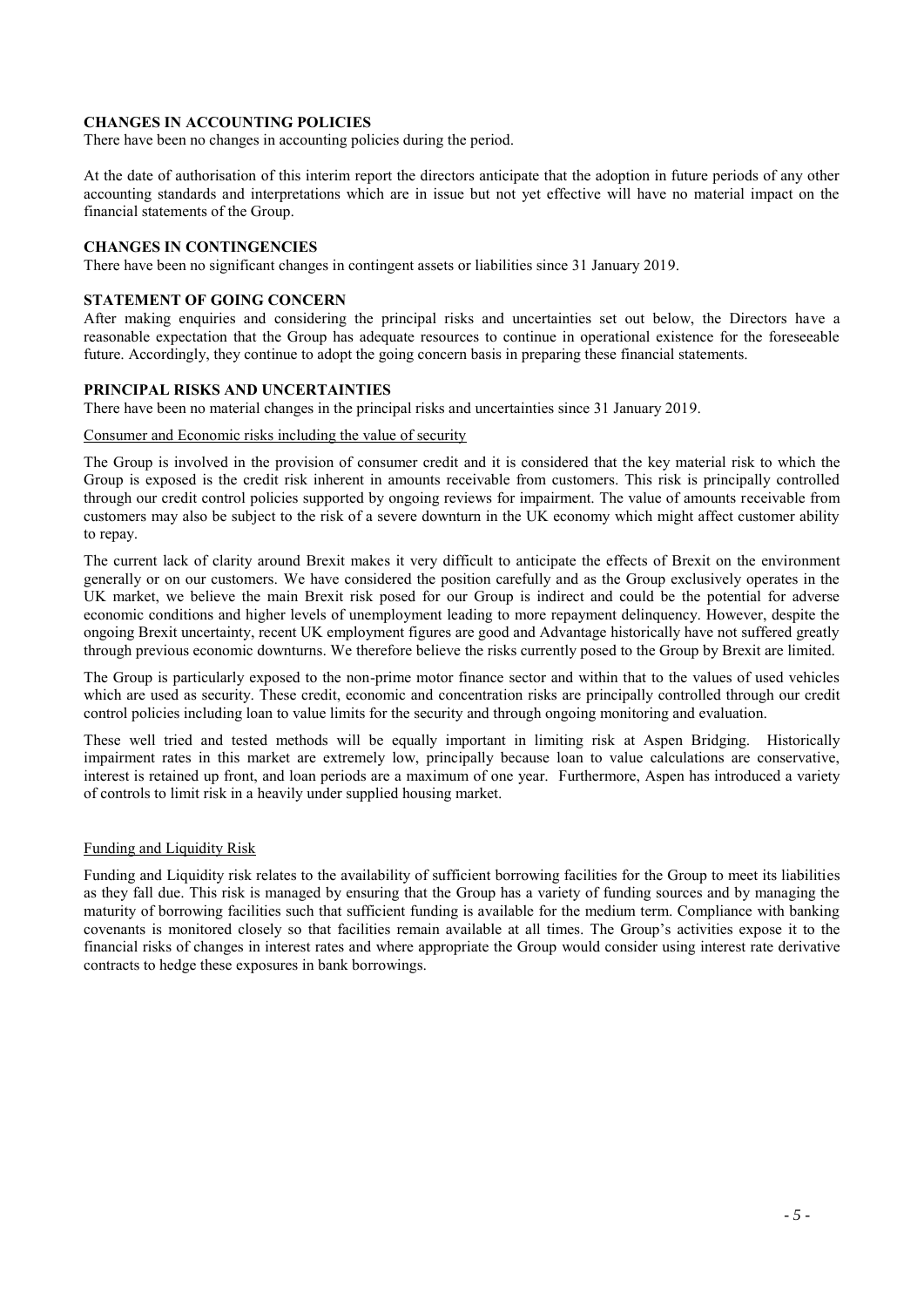# **CHANGES IN ACCOUNTING POLICIES**

There have been no changes in accounting policies during the period.

At the date of authorisation of this interim report the directors anticipate that the adoption in future periods of any other accounting standards and interpretations which are in issue but not yet effective will have no material impact on the financial statements of the Group.

#### **CHANGES IN CONTINGENCIES**

There have been no significant changes in contingent assets or liabilities since 31 January 2019.

#### **STATEMENT OF GOING CONCERN**

After making enquiries and considering the principal risks and uncertainties set out below, the Directors have a reasonable expectation that the Group has adequate resources to continue in operational existence for the foreseeable future. Accordingly, they continue to adopt the going concern basis in preparing these financial statements.

## **PRINCIPAL RISKS AND UNCERTAINTIES**

There have been no material changes in the principal risks and uncertainties since 31 January 2019.

# Consumer and Economic risks including the value of security

The Group is involved in the provision of consumer credit and it is considered that the key material risk to which the Group is exposed is the credit risk inherent in amounts receivable from customers. This risk is principally controlled through our credit control policies supported by ongoing reviews for impairment. The value of amounts receivable from customers may also be subject to the risk of a severe downturn in the UK economy which might affect customer ability to repay.

The current lack of clarity around Brexit makes it very difficult to anticipate the effects of Brexit on the environment generally or on our customers. We have considered the position carefully and as the Group exclusively operates in the UK market, we believe the main Brexit risk posed for our Group is indirect and could be the potential for adverse economic conditions and higher levels of unemployment leading to more repayment delinquency. However, despite the ongoing Brexit uncertainty, recent UK employment figures are good and Advantage historically have not suffered greatly through previous economic downturns. We therefore believe the risks currently posed to the Group by Brexit are limited.

The Group is particularly exposed to the non-prime motor finance sector and within that to the values of used vehicles which are used as security. These credit, economic and concentration risks are principally controlled through our credit control policies including loan to value limits for the security and through ongoing monitoring and evaluation.

These well tried and tested methods will be equally important in limiting risk at Aspen Bridging. Historically impairment rates in this market are extremely low, principally because loan to value calculations are conservative, interest is retained up front, and loan periods are a maximum of one year. Furthermore, Aspen has introduced a variety of controls to limit risk in a heavily under supplied housing market.

# Funding and Liquidity Risk

Funding and Liquidity risk relates to the availability of sufficient borrowing facilities for the Group to meet its liabilities as they fall due. This risk is managed by ensuring that the Group has a variety of funding sources and by managing the maturity of borrowing facilities such that sufficient funding is available for the medium term. Compliance with banking covenants is monitored closely so that facilities remain available at all times. The Group's activities expose it to the financial risks of changes in interest rates and where appropriate the Group would consider using interest rate derivative contracts to hedge these exposures in bank borrowings.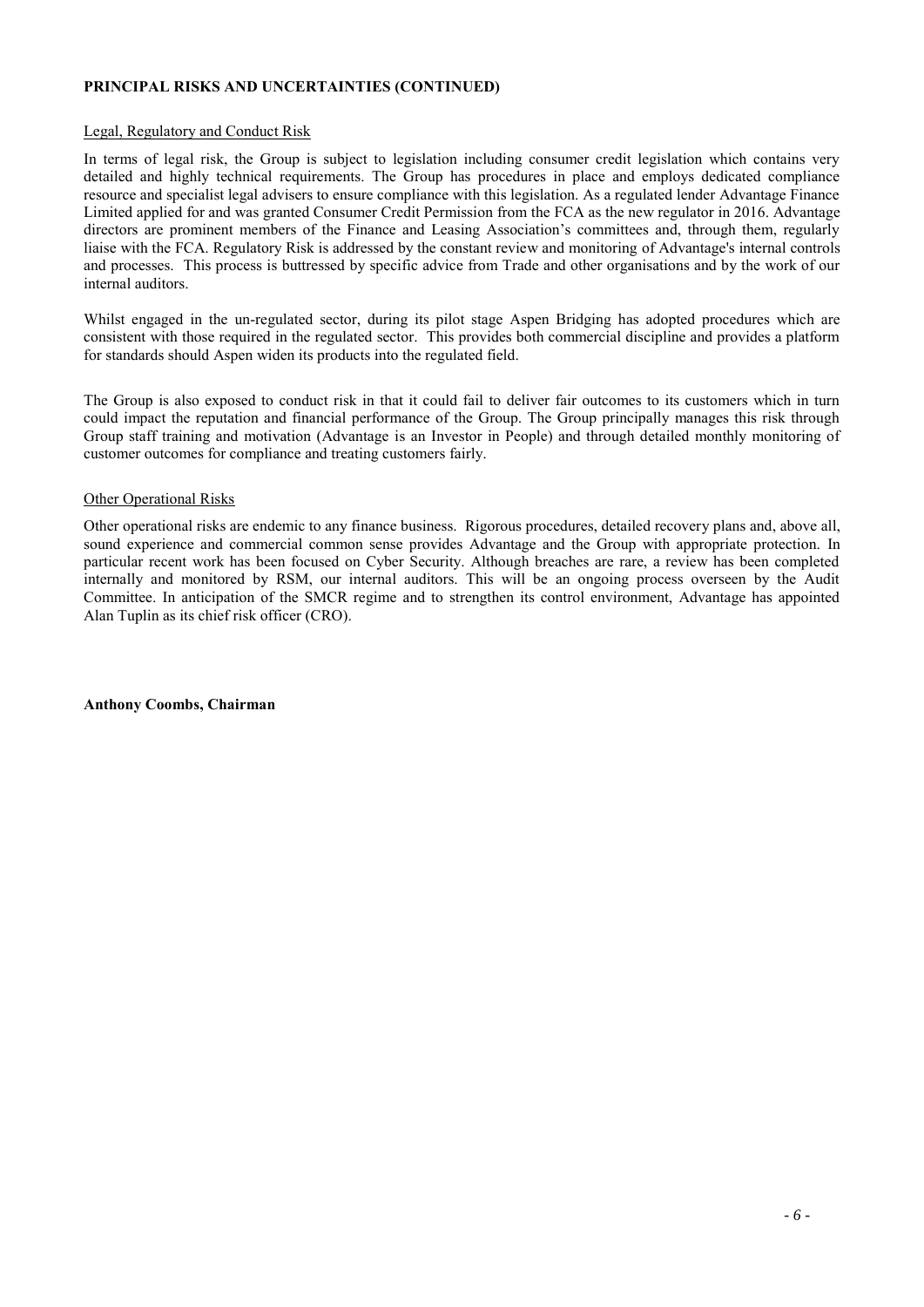#### **PRINCIPAL RISKS AND UNCERTAINTIES (CONTINUED)**

#### Legal, Regulatory and Conduct Risk

In terms of legal risk, the Group is subject to legislation including consumer credit legislation which contains very detailed and highly technical requirements. The Group has procedures in place and employs dedicated compliance resource and specialist legal advisers to ensure compliance with this legislation. As a regulated lender Advantage Finance Limited applied for and was granted Consumer Credit Permission from the FCA as the new regulator in 2016. Advantage directors are prominent members of the Finance and Leasing Association's committees and, through them, regularly liaise with the FCA. Regulatory Risk is addressed by the constant review and monitoring of Advantage's internal controls and processes. This process is buttressed by specific advice from Trade and other organisations and by the work of our internal auditors.

Whilst engaged in the un-regulated sector, during its pilot stage Aspen Bridging has adopted procedures which are consistent with those required in the regulated sector. This provides both commercial discipline and provides a platform for standards should Aspen widen its products into the regulated field.

The Group is also exposed to conduct risk in that it could fail to deliver fair outcomes to its customers which in turn could impact the reputation and financial performance of the Group. The Group principally manages this risk through Group staff training and motivation (Advantage is an Investor in People) and through detailed monthly monitoring of customer outcomes for compliance and treating customers fairly.

#### Other Operational Risks

Other operational risks are endemic to any finance business. Rigorous procedures, detailed recovery plans and, above all, sound experience and commercial common sense provides Advantage and the Group with appropriate protection. In particular recent work has been focused on Cyber Security. Although breaches are rare, a review has been completed internally and monitored by RSM, our internal auditors. This will be an ongoing process overseen by the Audit Committee. In anticipation of the SMCR regime and to strengthen its control environment, Advantage has appointed Alan Tuplin as its chief risk officer (CRO).

**Anthony Coombs, Chairman**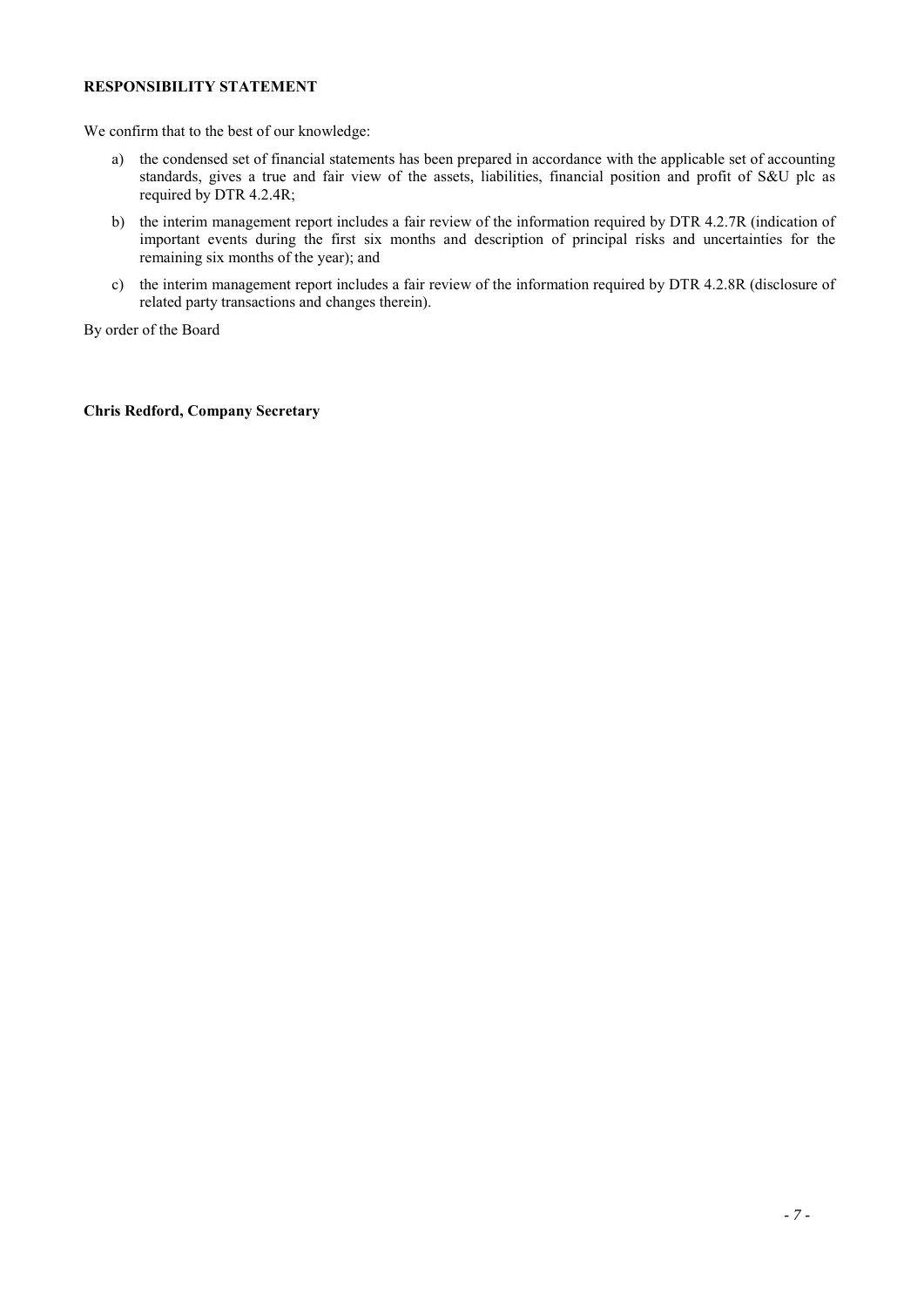#### **RESPONSIBILITY STATEMENT**

We confirm that to the best of our knowledge:

- a) the condensed set of financial statements has been prepared in accordance with the applicable set of accounting standards, gives a true and fair view of the assets, liabilities, financial position and profit of S&U plc as required by DTR 4.2.4R;
- b) the interim management report includes a fair review of the information required by DTR 4.2.7R (indication of important events during the first six months and description of principal risks and uncertainties for the remaining six months of the year); and
- c) the interim management report includes a fair review of the information required by DTR 4.2.8R (disclosure of related party transactions and changes therein).

By order of the Board

**Chris Redford, Company Secretary**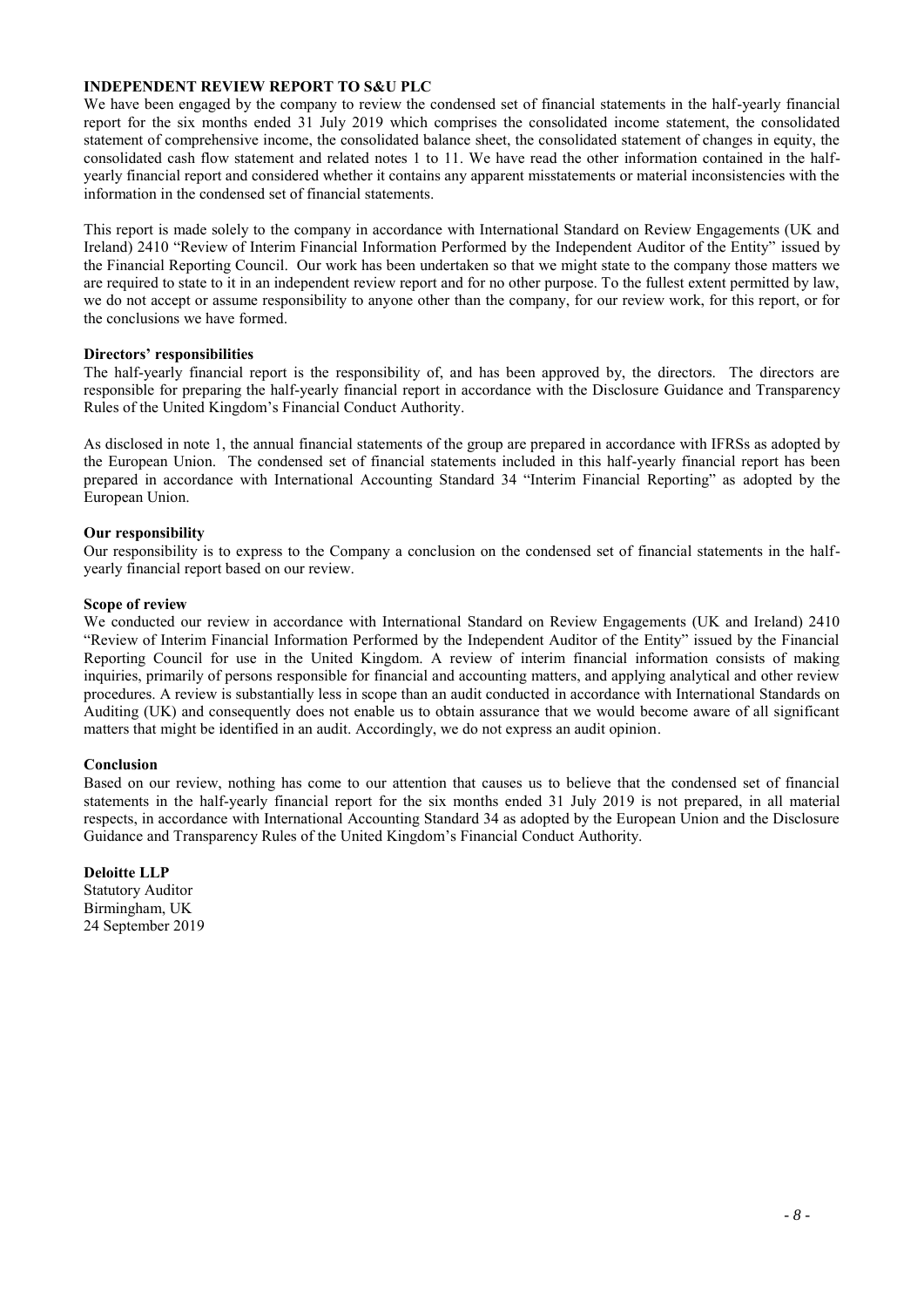## **INDEPENDENT REVIEW REPORT TO S&U PLC**

We have been engaged by the company to review the condensed set of financial statements in the half-yearly financial report for the six months ended 31 July 2019 which comprises the consolidated income statement, the consolidated statement of comprehensive income, the consolidated balance sheet, the consolidated statement of changes in equity, the consolidated cash flow statement and related notes 1 to 11. We have read the other information contained in the halfyearly financial report and considered whether it contains any apparent misstatements or material inconsistencies with the information in the condensed set of financial statements.

This report is made solely to the company in accordance with International Standard on Review Engagements (UK and Ireland) 2410 "Review of Interim Financial Information Performed by the Independent Auditor of the Entity" issued by the Financial Reporting Council. Our work has been undertaken so that we might state to the company those matters we are required to state to it in an independent review report and for no other purpose. To the fullest extent permitted by law, we do not accept or assume responsibility to anyone other than the company, for our review work, for this report, or for the conclusions we have formed.

## **Directors' responsibilities**

The half-yearly financial report is the responsibility of, and has been approved by, the directors. The directors are responsible for preparing the half-yearly financial report in accordance with the Disclosure Guidance and Transparency Rules of the United Kingdom's Financial Conduct Authority.

As disclosed in note 1, the annual financial statements of the group are prepared in accordance with IFRSs as adopted by the European Union. The condensed set of financial statements included in this half-yearly financial report has been prepared in accordance with International Accounting Standard 34 "Interim Financial Reporting" as adopted by the European Union.

## **Our responsibility**

Our responsibility is to express to the Company a conclusion on the condensed set of financial statements in the halfyearly financial report based on our review.

#### **Scope of review**

We conducted our review in accordance with International Standard on Review Engagements (UK and Ireland) 2410 "Review of Interim Financial Information Performed by the Independent Auditor of the Entity" issued by the Financial Reporting Council for use in the United Kingdom. A review of interim financial information consists of making inquiries, primarily of persons responsible for financial and accounting matters, and applying analytical and other review procedures. A review is substantially less in scope than an audit conducted in accordance with International Standards on Auditing (UK) and consequently does not enable us to obtain assurance that we would become aware of all significant matters that might be identified in an audit. Accordingly, we do not express an audit opinion.

## **Conclusion**

Based on our review, nothing has come to our attention that causes us to believe that the condensed set of financial statements in the half-yearly financial report for the six months ended 31 July 2019 is not prepared, in all material respects, in accordance with International Accounting Standard 34 as adopted by the European Union and the Disclosure Guidance and Transparency Rules of the United Kingdom's Financial Conduct Authority.

## **Deloitte LLP**

Statutory Auditor Birmingham, UK 24 September 2019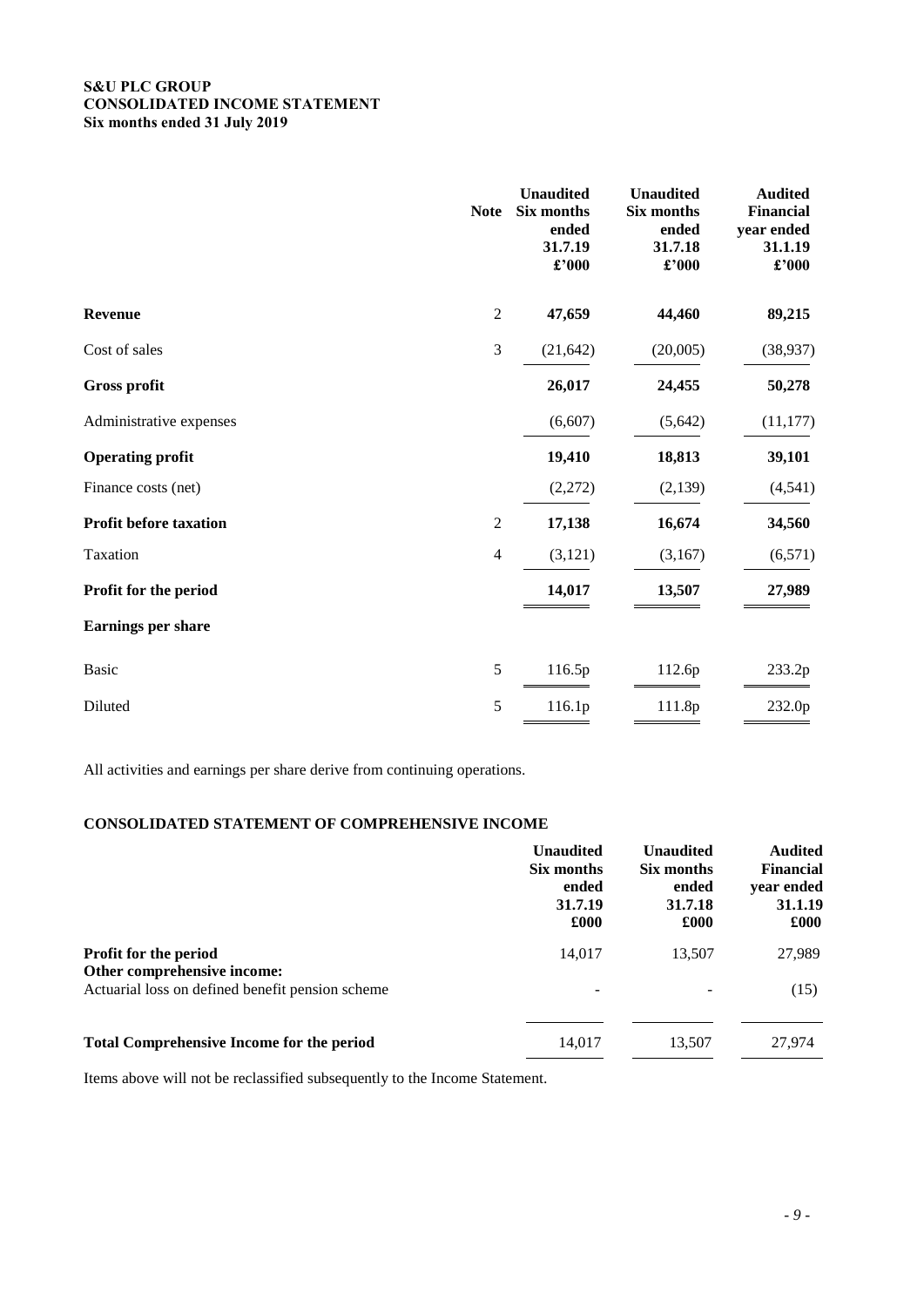# **S&U PLC GROUP CONSOLIDATED INCOME STATEMENT Six months ended 31 July 2019**

|                         | <b>Note</b>    | <b>Unaudited</b><br>Six months<br>ended<br>31.7.19<br>£'000 | <b>Unaudited</b><br>Six months<br>ended<br>31.7.18<br>£'000 | <b>Audited</b><br><b>Financial</b><br>year ended<br>31.1.19<br>£'000 |
|-------------------------|----------------|-------------------------------------------------------------|-------------------------------------------------------------|----------------------------------------------------------------------|
| <b>Revenue</b>          | $\overline{2}$ | 47,659                                                      | 44,460                                                      | 89,215                                                               |
| Cost of sales           | 3              | (21, 642)                                                   | (20,005)                                                    | (38, 937)                                                            |
| <b>Gross profit</b>     |                | 26,017                                                      | 24,455                                                      | 50,278                                                               |
| Administrative expenses |                | (6,607)                                                     | (5, 642)                                                    | (11, 177)                                                            |
| <b>Operating profit</b> |                | 19,410                                                      | 18,813                                                      | 39,101                                                               |
| Finance costs (net)     |                | (2,272)                                                     | (2,139)                                                     | (4, 541)                                                             |
| Profit before taxation  | $\overline{2}$ | 17,138                                                      | 16,674                                                      | 34,560                                                               |
| Taxation                | $\overline{4}$ | (3, 121)                                                    | (3,167)                                                     | (6,571)                                                              |
| Profit for the period   |                | 14,017                                                      | 13,507                                                      | 27,989                                                               |
| Earnings per share      |                |                                                             |                                                             |                                                                      |
| <b>Basic</b>            | 5              | 116.5p                                                      | 112.6p                                                      | 233.2p                                                               |
| Diluted                 | 5              | 116.1p                                                      | 111.8p                                                      | 232.0p                                                               |

All activities and earnings per share derive from continuing operations.

# **CONSOLIDATED STATEMENT OF COMPREHENSIVE INCOME**

|                                                             | <b>Unaudited</b><br>Six months<br>ended<br>31.7.19<br>£000 | <b>Unaudited</b><br>Six months<br>ended<br>31.7.18<br>£000 | <b>Audited</b><br><b>Financial</b><br>year ended<br>31.1.19<br>£000 |
|-------------------------------------------------------------|------------------------------------------------------------|------------------------------------------------------------|---------------------------------------------------------------------|
| <b>Profit for the period</b><br>Other comprehensive income: | 14,017                                                     | 13.507                                                     | 27,989                                                              |
| Actuarial loss on defined benefit pension scheme            | -                                                          |                                                            | (15)                                                                |
| <b>Total Comprehensive Income for the period</b>            | 14,017                                                     | 13,507                                                     | 27,974                                                              |

Items above will not be reclassified subsequently to the Income Statement.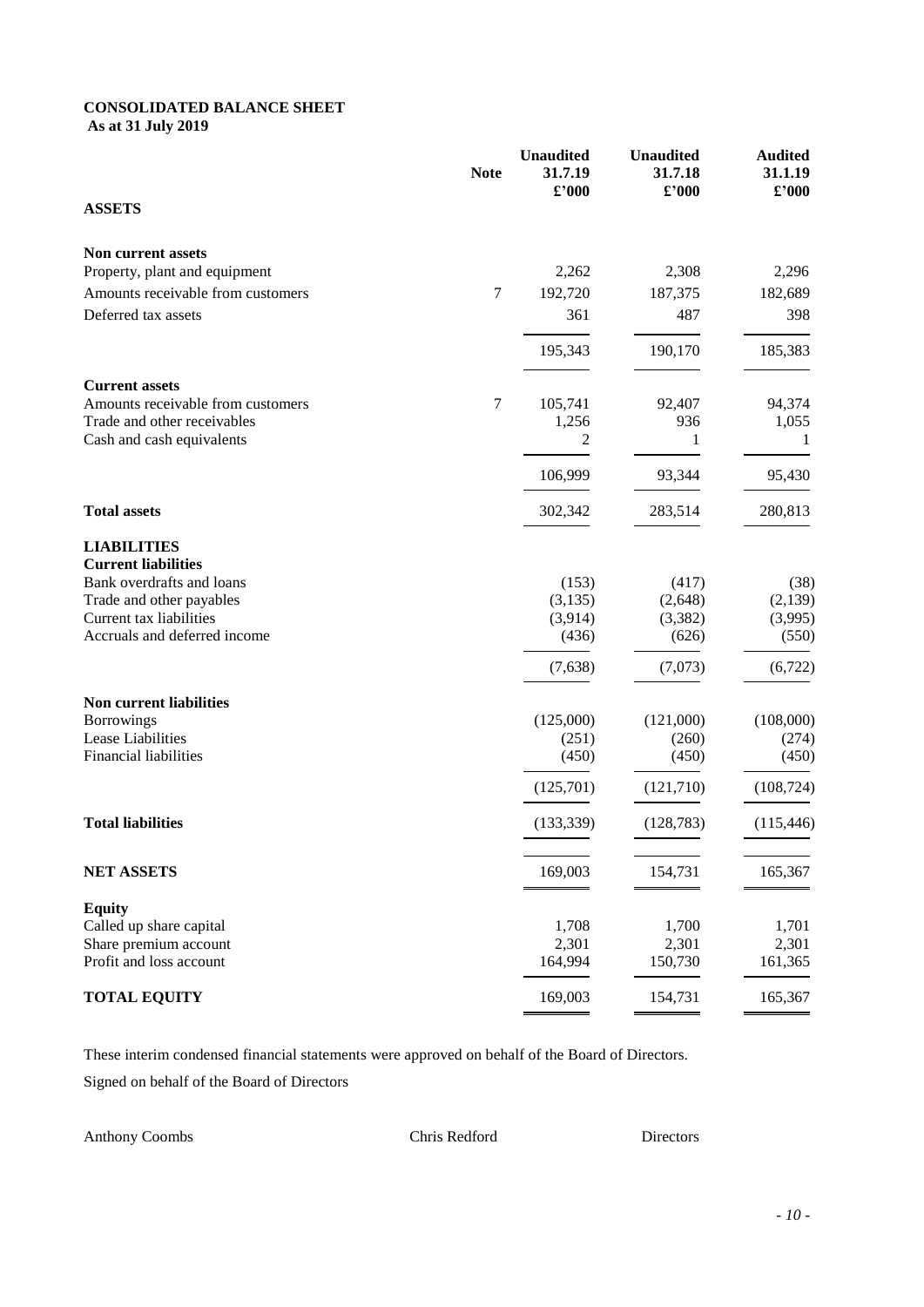# **CONSOLIDATED BALANCE SHEET As at 31 July 2019**

|                                                         | <b>Note</b>      | <b>Unaudited</b><br>31.7.19<br>£'000 | <b>Unaudited</b><br>31.7.18<br>£'000 | <b>Audited</b><br>31.1.19<br>$\pounds$ '000 |
|---------------------------------------------------------|------------------|--------------------------------------|--------------------------------------|---------------------------------------------|
| <b>ASSETS</b>                                           |                  |                                      |                                      |                                             |
| <b>Non current assets</b>                               |                  |                                      |                                      |                                             |
| Property, plant and equipment                           |                  | 2,262                                | 2,308                                | 2,296                                       |
| Amounts receivable from customers                       | $\tau$           | 192,720                              | 187,375                              | 182,689                                     |
| Deferred tax assets                                     |                  | 361                                  | 487                                  | 398                                         |
|                                                         |                  | 195,343                              | 190,170                              | 185,383                                     |
| <b>Current assets</b>                                   |                  |                                      |                                      |                                             |
| Amounts receivable from customers                       | $\boldsymbol{7}$ | 105,741                              | 92,407                               | 94,374                                      |
| Trade and other receivables                             |                  | 1,256                                | 936                                  | 1,055                                       |
| Cash and cash equivalents                               |                  | 2                                    | 1                                    | 1                                           |
|                                                         |                  | 106,999                              | 93,344                               | 95,430                                      |
| <b>Total assets</b>                                     |                  | 302,342                              | 283,514                              | 280,813                                     |
| <b>LIABILITIES</b>                                      |                  |                                      |                                      |                                             |
| <b>Current liabilities</b><br>Bank overdrafts and loans |                  |                                      |                                      |                                             |
| Trade and other payables                                |                  | (153)<br>(3, 135)                    | (417)<br>(2,648)                     | (38)<br>(2,139)                             |
| Current tax liabilities                                 |                  | (3,914)                              | (3,382)                              | (3,995)                                     |
| Accruals and deferred income                            |                  | (436)                                | (626)                                | (550)                                       |
|                                                         |                  | (7,638)                              | (7,073)                              | (6,722)                                     |
| <b>Non current liabilities</b>                          |                  |                                      |                                      |                                             |
| <b>Borrowings</b>                                       |                  | (125,000)                            | (121,000)                            | (108,000)                                   |
| Lease Liabilities                                       |                  | (251)                                | (260)                                | (274)                                       |
| Financial liabilities                                   |                  | (450)                                | (450)                                | (450)                                       |
|                                                         |                  | (125,701)                            | (121,710)                            | (108, 724)                                  |
| <b>Total liabilities</b>                                |                  | (133, 339)                           | (128, 783)                           | (115, 446)                                  |
| <b>NET ASSETS</b>                                       |                  | 169,003                              | 154,731                              | 165,367                                     |
| <b>Equity</b>                                           |                  |                                      |                                      |                                             |
| Called up share capital                                 |                  | 1,708                                | 1,700                                | 1,701                                       |
| Share premium account                                   |                  | 2,301                                | 2,301                                | 2,301                                       |
| Profit and loss account                                 |                  | 164,994                              | 150,730                              | 161,365                                     |
| <b>TOTAL EQUITY</b>                                     |                  | 169,003                              | 154,731                              | 165,367                                     |

These interim condensed financial statements were approved on behalf of the Board of Directors.

Signed on behalf of the Board of Directors

Anthony Coombs Chris Redford Directors

 $\blacksquare$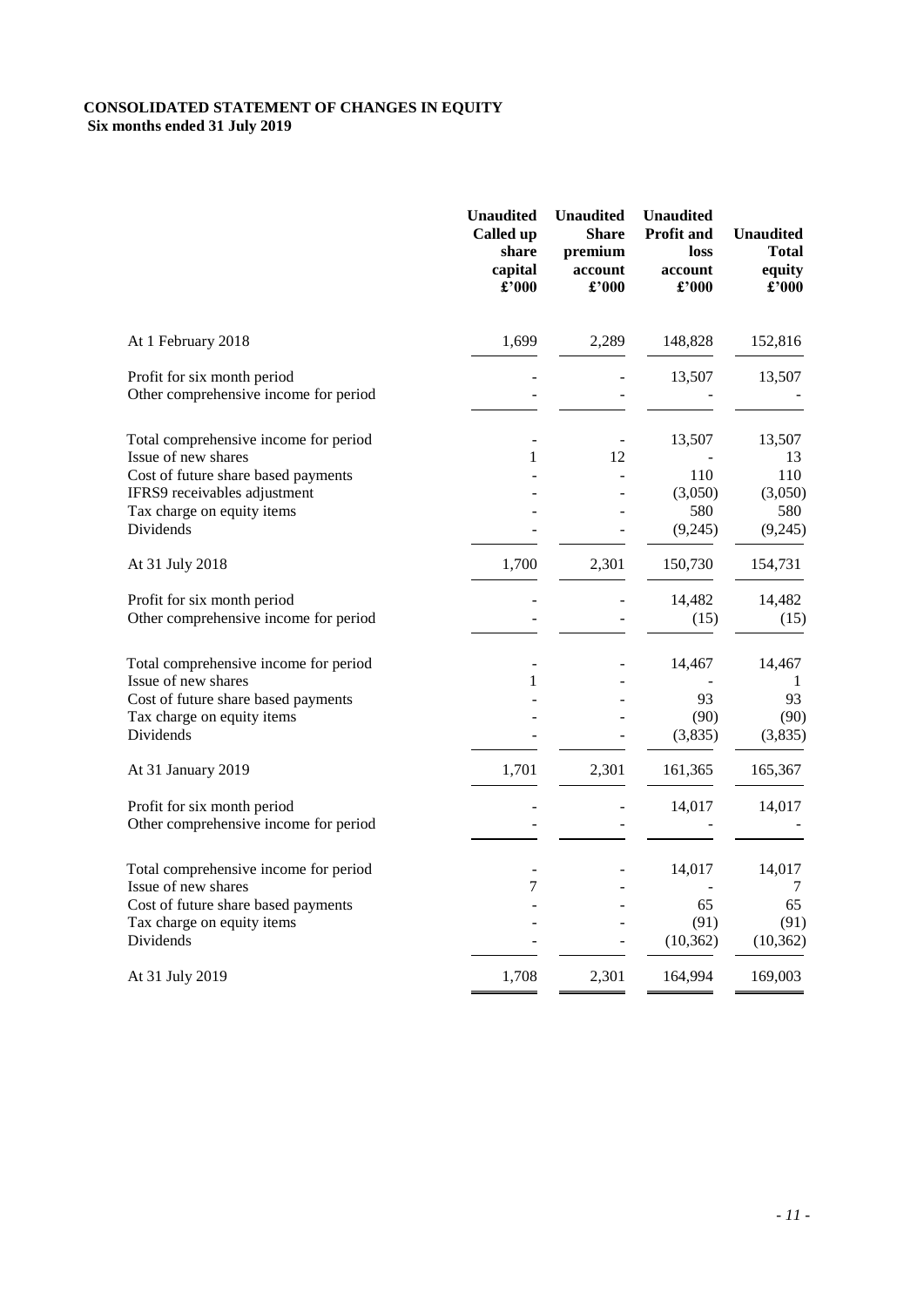## **CONSOLIDATED STATEMENT OF CHANGES IN EQUITY Six months ended 31 July 2019**

|                                                                      | <b>Unaudited</b><br>Called up<br>share<br>capital<br>£'000 | <b>Unaudited</b><br><b>Share</b><br>premium<br>account<br>£'000 | <b>Unaudited</b><br>Profit and<br>loss<br>account<br>£'000 | <b>Unaudited</b><br><b>Total</b><br>equity<br>£'000 |
|----------------------------------------------------------------------|------------------------------------------------------------|-----------------------------------------------------------------|------------------------------------------------------------|-----------------------------------------------------|
| At 1 February 2018                                                   | 1,699                                                      | 2,289                                                           | 148,828                                                    | 152,816                                             |
| Profit for six month period<br>Other comprehensive income for period |                                                            |                                                                 | 13,507                                                     | 13,507                                              |
| Total comprehensive income for period<br>Issue of new shares         | $\mathbf{1}$                                               | 12                                                              | 13,507                                                     | 13,507<br>13                                        |
| Cost of future share based payments<br>IFRS9 receivables adjustment  |                                                            |                                                                 | 110<br>(3,050)                                             | 110<br>(3,050)                                      |
| Tax charge on equity items<br><b>Dividends</b>                       |                                                            |                                                                 | 580<br>(9,245)                                             | 580<br>(9, 245)                                     |
| At 31 July 2018                                                      | 1,700                                                      | 2,301                                                           | 150,730                                                    | 154,731                                             |
| Profit for six month period<br>Other comprehensive income for period |                                                            |                                                                 | 14,482<br>(15)                                             | 14,482<br>(15)                                      |
| Total comprehensive income for period<br>Issue of new shares         | 1                                                          |                                                                 | 14,467                                                     | 14,467                                              |
| Cost of future share based payments                                  |                                                            |                                                                 | 93                                                         | $\mathbf{1}$<br>93                                  |
| Tax charge on equity items                                           |                                                            |                                                                 | (90)                                                       | (90)                                                |
| Dividends                                                            |                                                            |                                                                 | (3,835)                                                    | (3,835)                                             |
| At 31 January 2019                                                   | 1,701                                                      | 2,301                                                           | 161,365                                                    | 165,367                                             |
| Profit for six month period<br>Other comprehensive income for period |                                                            |                                                                 | 14,017                                                     | 14,017                                              |
| Total comprehensive income for period                                |                                                            |                                                                 | 14,017                                                     | 14,017                                              |
| Issue of new shares                                                  | $\overline{7}$                                             |                                                                 |                                                            | 7                                                   |
| Cost of future share based payments                                  |                                                            |                                                                 | 65                                                         | 65                                                  |
| Tax charge on equity items<br>Dividends                              |                                                            |                                                                 | (91)<br>(10, 362)                                          | (91)<br>(10, 362)                                   |
| At 31 July 2019                                                      | 1,708                                                      | 2,301                                                           | 164,994                                                    | 169,003                                             |
|                                                                      |                                                            |                                                                 |                                                            |                                                     |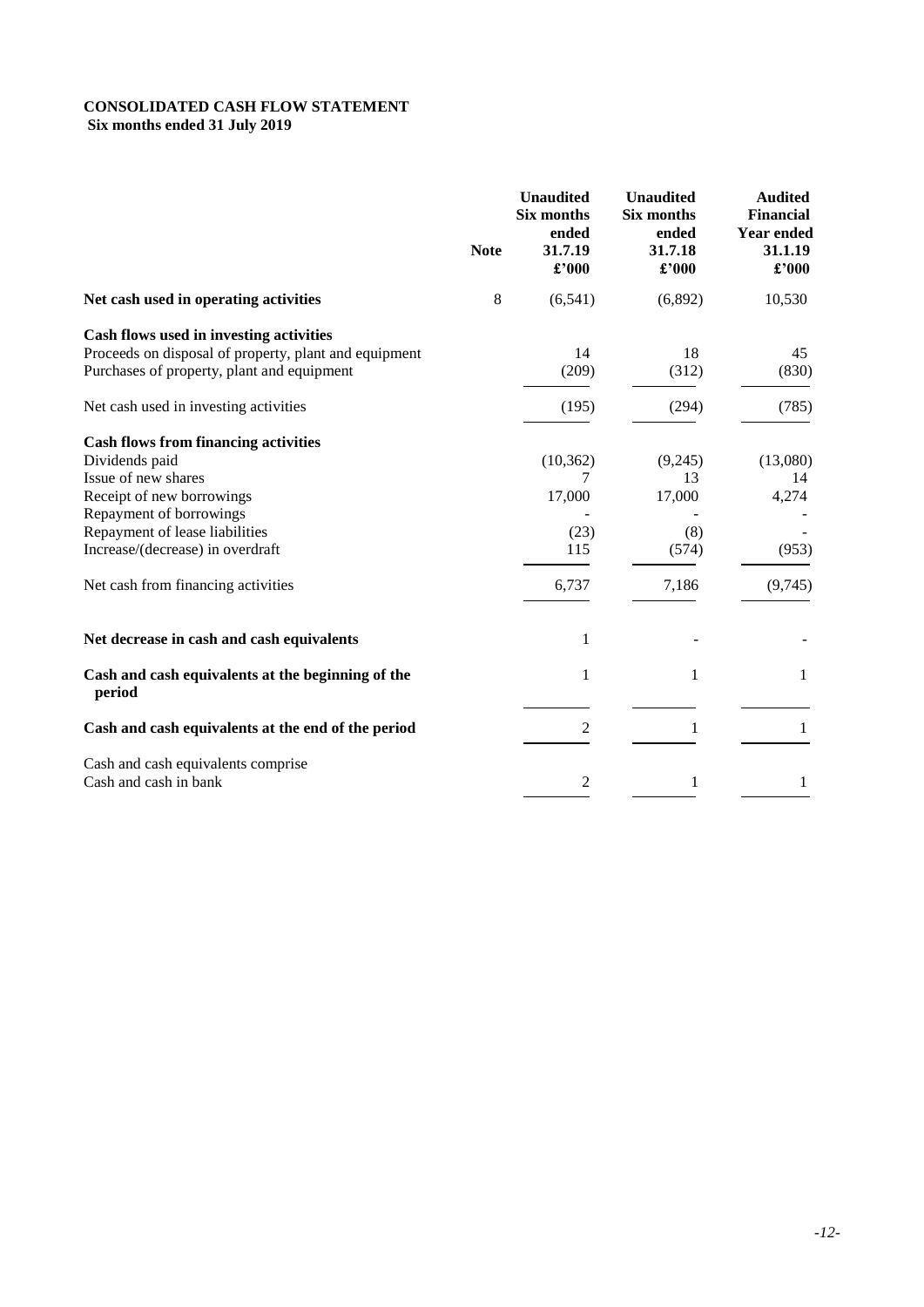# **CONSOLIDATED CASH FLOW STATEMENT Six months ended 31 July 2019**

|                                                             | <b>Note</b> | <b>Unaudited</b><br>Six months<br>ended<br>31.7.19<br>£2000 | <b>Unaudited</b><br>Six months<br>ended<br>31.7.18<br>£'000 | <b>Audited</b><br><b>Financial</b><br><b>Year ended</b><br>31.1.19<br>£'000 |
|-------------------------------------------------------------|-------------|-------------------------------------------------------------|-------------------------------------------------------------|-----------------------------------------------------------------------------|
| Net cash used in operating activities                       | 8           | (6, 541)                                                    | (6,892)                                                     | 10,530                                                                      |
| Cash flows used in investing activities                     |             |                                                             |                                                             |                                                                             |
| Proceeds on disposal of property, plant and equipment       |             | 14                                                          | 18                                                          | 45                                                                          |
| Purchases of property, plant and equipment                  |             | (209)                                                       | (312)                                                       | (830)                                                                       |
| Net cash used in investing activities                       |             | (195)                                                       | (294)                                                       | (785)                                                                       |
| <b>Cash flows from financing activities</b>                 |             |                                                             |                                                             |                                                                             |
| Dividends paid                                              |             | (10, 362)                                                   | (9,245)                                                     | (13,080)                                                                    |
| Issue of new shares                                         |             |                                                             | 13                                                          | 14                                                                          |
| Receipt of new borrowings                                   |             | 17,000                                                      | 17,000                                                      | 4,274                                                                       |
| Repayment of borrowings                                     |             |                                                             |                                                             |                                                                             |
| Repayment of lease liabilities                              |             | (23)                                                        | (8)                                                         |                                                                             |
| Increase/(decrease) in overdraft                            |             | 115                                                         | (574)                                                       | (953)                                                                       |
| Net cash from financing activities                          |             | 6,737                                                       | 7,186                                                       | (9,745)                                                                     |
| Net decrease in cash and cash equivalents                   |             | 1                                                           |                                                             |                                                                             |
| Cash and cash equivalents at the beginning of the<br>period |             | 1                                                           | 1                                                           | 1                                                                           |
| Cash and cash equivalents at the end of the period          |             | 2                                                           | 1                                                           | 1                                                                           |
| Cash and cash equivalents comprise<br>Cash and cash in bank |             | 2                                                           | 1                                                           | 1                                                                           |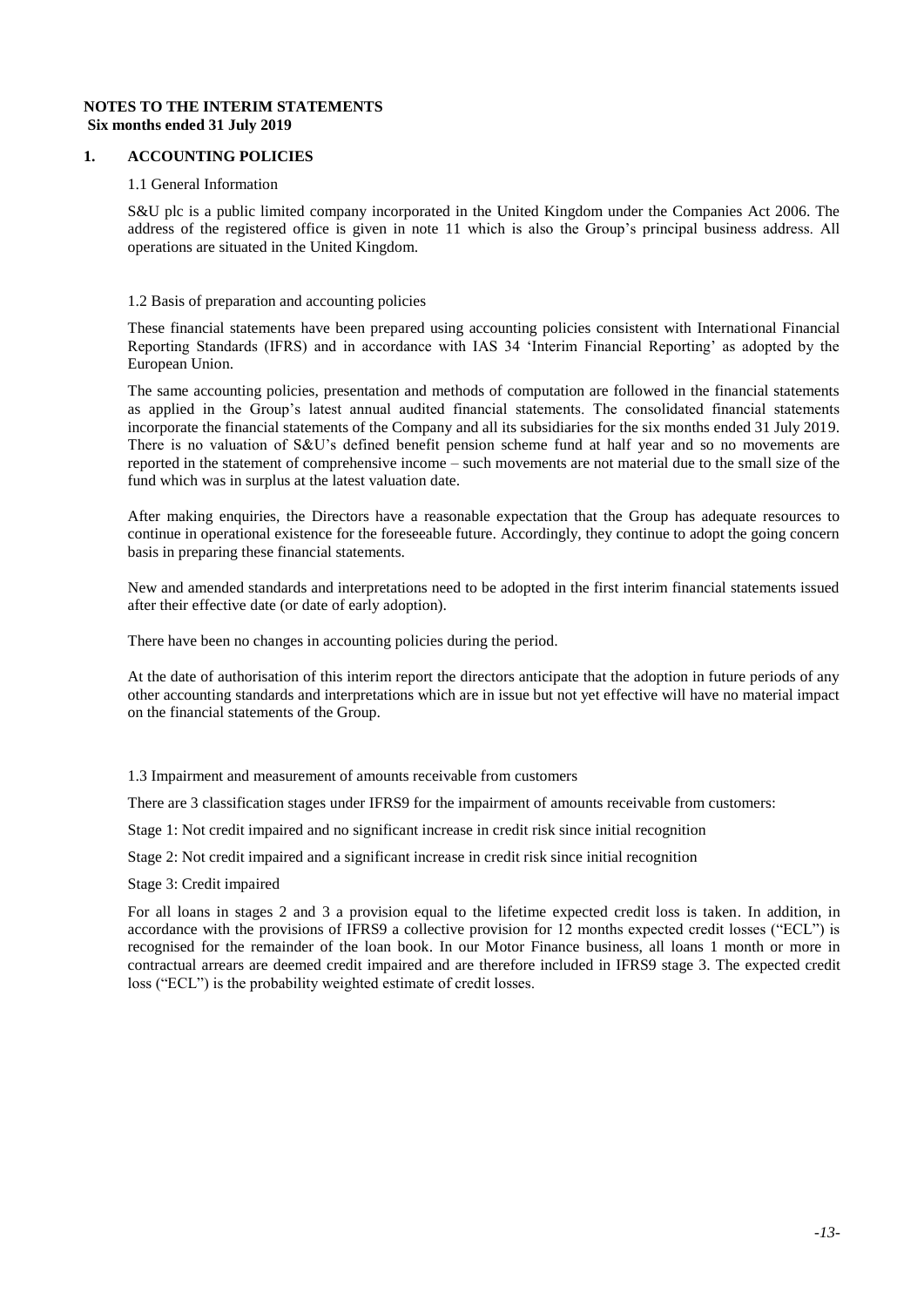# **1. ACCOUNTING POLICIES**

#### 1.1 General Information

S&U plc is a public limited company incorporated in the United Kingdom under the Companies Act 2006. The address of the registered office is given in note 11 which is also the Group's principal business address. All operations are situated in the United Kingdom.

#### 1.2 Basis of preparation and accounting policies

These financial statements have been prepared using accounting policies consistent with International Financial Reporting Standards (IFRS) and in accordance with IAS 34 'Interim Financial Reporting' as adopted by the European Union.

The same accounting policies, presentation and methods of computation are followed in the financial statements as applied in the Group's latest annual audited financial statements. The consolidated financial statements incorporate the financial statements of the Company and all its subsidiaries for the six months ended 31 July 2019. There is no valuation of S&U's defined benefit pension scheme fund at half year and so no movements are reported in the statement of comprehensive income – such movements are not material due to the small size of the fund which was in surplus at the latest valuation date.

After making enquiries, the Directors have a reasonable expectation that the Group has adequate resources to continue in operational existence for the foreseeable future. Accordingly, they continue to adopt the going concern basis in preparing these financial statements.

New and amended standards and interpretations need to be adopted in the first interim financial statements issued after their effective date (or date of early adoption).

There have been no changes in accounting policies during the period.

At the date of authorisation of this interim report the directors anticipate that the adoption in future periods of any other accounting standards and interpretations which are in issue but not yet effective will have no material impact on the financial statements of the Group.

1.3 Impairment and measurement of amounts receivable from customers

There are 3 classification stages under IFRS9 for the impairment of amounts receivable from customers:

Stage 1: Not credit impaired and no significant increase in credit risk since initial recognition

Stage 2: Not credit impaired and a significant increase in credit risk since initial recognition

Stage 3: Credit impaired

For all loans in stages 2 and 3 a provision equal to the lifetime expected credit loss is taken. In addition, in accordance with the provisions of IFRS9 a collective provision for 12 months expected credit losses ("ECL") is recognised for the remainder of the loan book. In our Motor Finance business, all loans 1 month or more in contractual arrears are deemed credit impaired and are therefore included in IFRS9 stage 3. The expected credit loss ("ECL") is the probability weighted estimate of credit losses.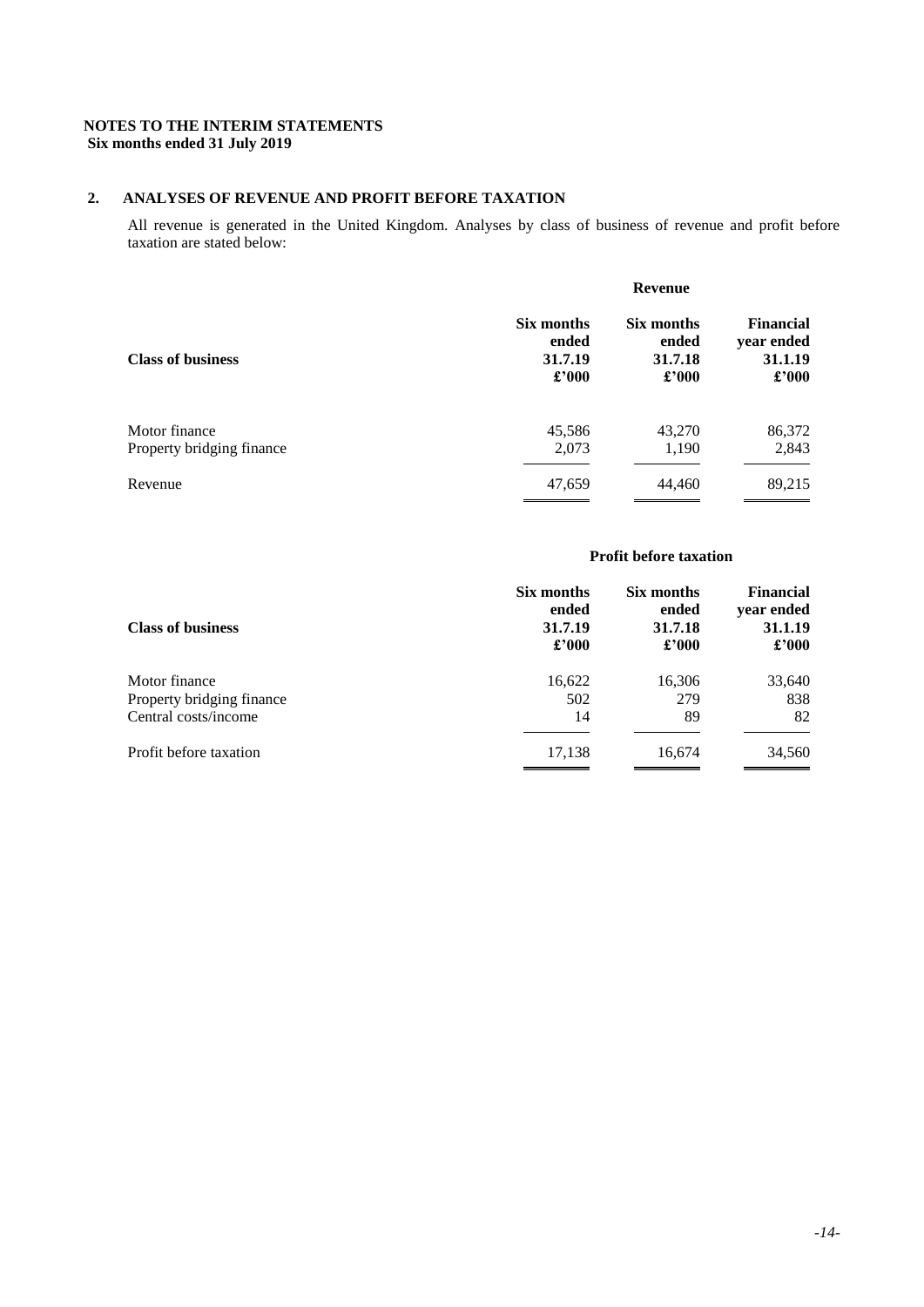# **2. ANALYSES OF REVENUE AND PROFIT BEFORE TAXATION**

All revenue is generated in the United Kingdom. Analyses by class of business of revenue and profit before taxation are stated below:

|                           | Revenue    |            |                  |  |  |
|---------------------------|------------|------------|------------------|--|--|
| <b>Class of business</b>  | Six months | Six months | <b>Financial</b> |  |  |
|                           | ended      | ended      | year ended       |  |  |
|                           | 31.7.19    | 31.7.18    | 31.1.19          |  |  |
|                           | £'000      | £'000      | £'000            |  |  |
| Motor finance             | 45,586     | 43,270     | 86,372           |  |  |
| Property bridging finance | 2,073      | 1,190      | 2,843            |  |  |
| Revenue                   | 47,659     | 44,460     | 89,215           |  |  |

|                           | <b>Profit before taxation</b> |            |                |  |
|---------------------------|-------------------------------|------------|----------------|--|
| <b>Class of business</b>  | Six months                    | Six months | Financial      |  |
|                           | ended                         | ended      | year ended     |  |
|                           | 31.7.19                       | 31.7.18    | 31.1.19        |  |
|                           | £'000                         | £'000      | $\pounds$ '000 |  |
| Motor finance             | 16,622                        | 16,306     | 33,640         |  |
| Property bridging finance | 502                           | 279        | 838            |  |
| Central costs/income      | 14                            | 89         | 82             |  |
| Profit before taxation    | 17,138                        | 16,674     | 34,560         |  |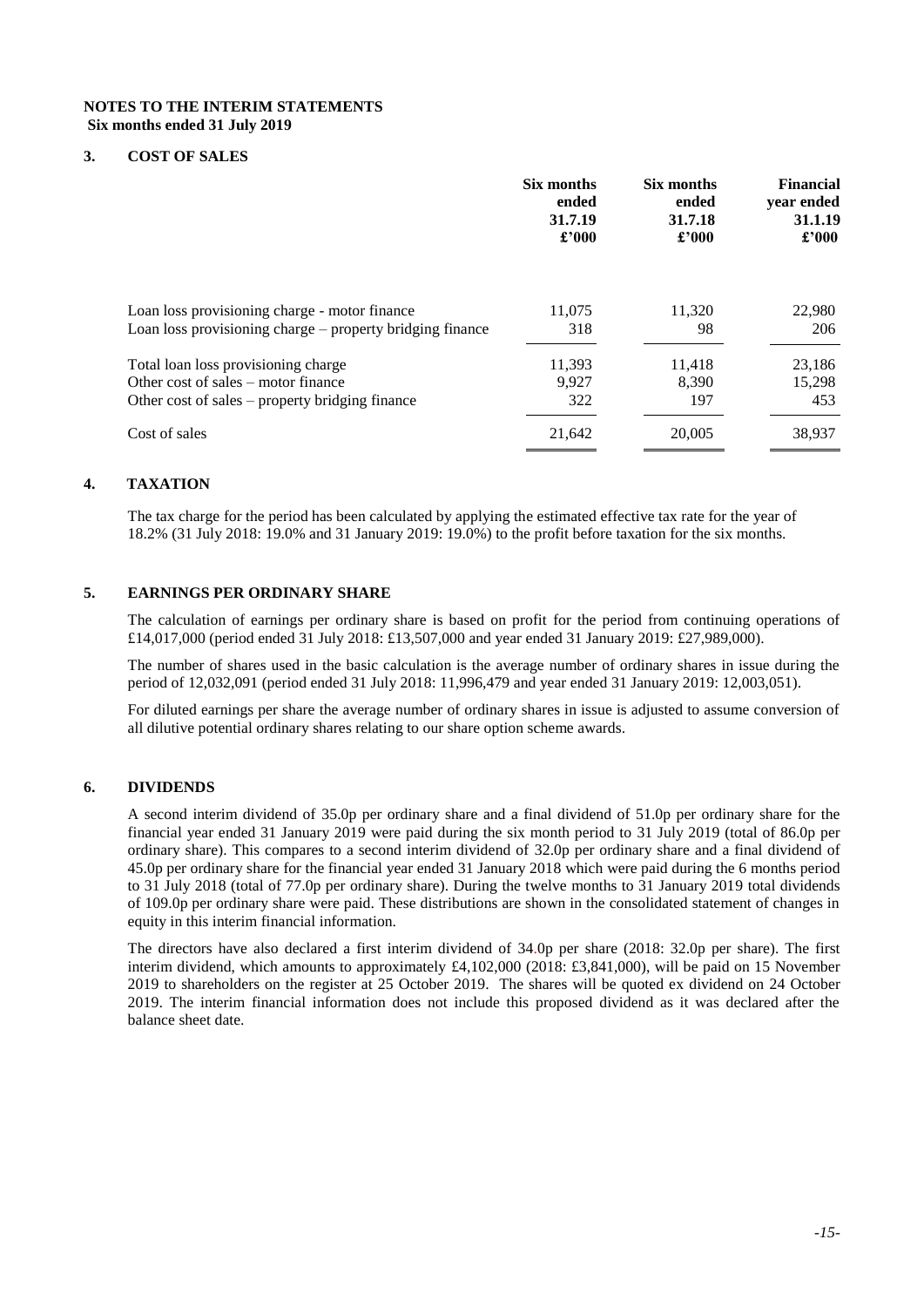## **3. COST OF SALES**

|                                                           | Six months | Six months | <b>Financial</b> |
|-----------------------------------------------------------|------------|------------|------------------|
|                                                           | ended      | ended      | vear ended       |
|                                                           | 31.7.19    | 31.7.18    | 31.1.19          |
|                                                           | £2000      | £2000      | £'000            |
| Loan loss provisioning charge - motor finance             | 11,075     | 11,320     | 22,980           |
| Loan loss provisioning charge – property bridging finance | 318        | 98         | 206              |
| Total loan loss provisioning charge                       | 11,393     | 11.418     | 23,186           |
| Other cost of sales $-$ motor finance                     | 9,927      | 8.390      | 15,298           |
| Other cost of sales – property bridging finance           | 322        | 197        | 453              |
| Cost of sales                                             | 21,642     | 20,005     | 38,937           |

## **4. TAXATION**

The tax charge for the period has been calculated by applying the estimated effective tax rate for the year of 18.2% (31 July 2018: 19.0% and 31 January 2019: 19.0%) to the profit before taxation for the six months.

## **5. EARNINGS PER ORDINARY SHARE**

The calculation of earnings per ordinary share is based on profit for the period from continuing operations of £14,017,000 (period ended 31 July 2018: £13,507,000 and year ended 31 January 2019: £27,989,000).

The number of shares used in the basic calculation is the average number of ordinary shares in issue during the period of 12,032,091 (period ended 31 July 2018: 11,996,479 and year ended 31 January 2019: 12,003,051).

For diluted earnings per share the average number of ordinary shares in issue is adjusted to assume conversion of all dilutive potential ordinary shares relating to our share option scheme awards.

## **6. DIVIDENDS**

A second interim dividend of 35.0p per ordinary share and a final dividend of 51.0p per ordinary share for the financial year ended 31 January 2019 were paid during the six month period to 31 July 2019 (total of 86.0p per ordinary share). This compares to a second interim dividend of 32.0p per ordinary share and a final dividend of 45.0p per ordinary share for the financial year ended 31 January 2018 which were paid during the 6 months period to 31 July 2018 (total of 77.0p per ordinary share). During the twelve months to 31 January 2019 total dividends of 109.0p per ordinary share were paid. These distributions are shown in the consolidated statement of changes in equity in this interim financial information.

The directors have also declared a first interim dividend of 34.0p per share (2018: 32.0p per share). The first interim dividend, which amounts to approximately £4,102,000 (2018: £3,841,000), will be paid on 15 November 2019 to shareholders on the register at 25 October 2019. The shares will be quoted ex dividend on 24 October 2019. The interim financial information does not include this proposed dividend as it was declared after the balance sheet date.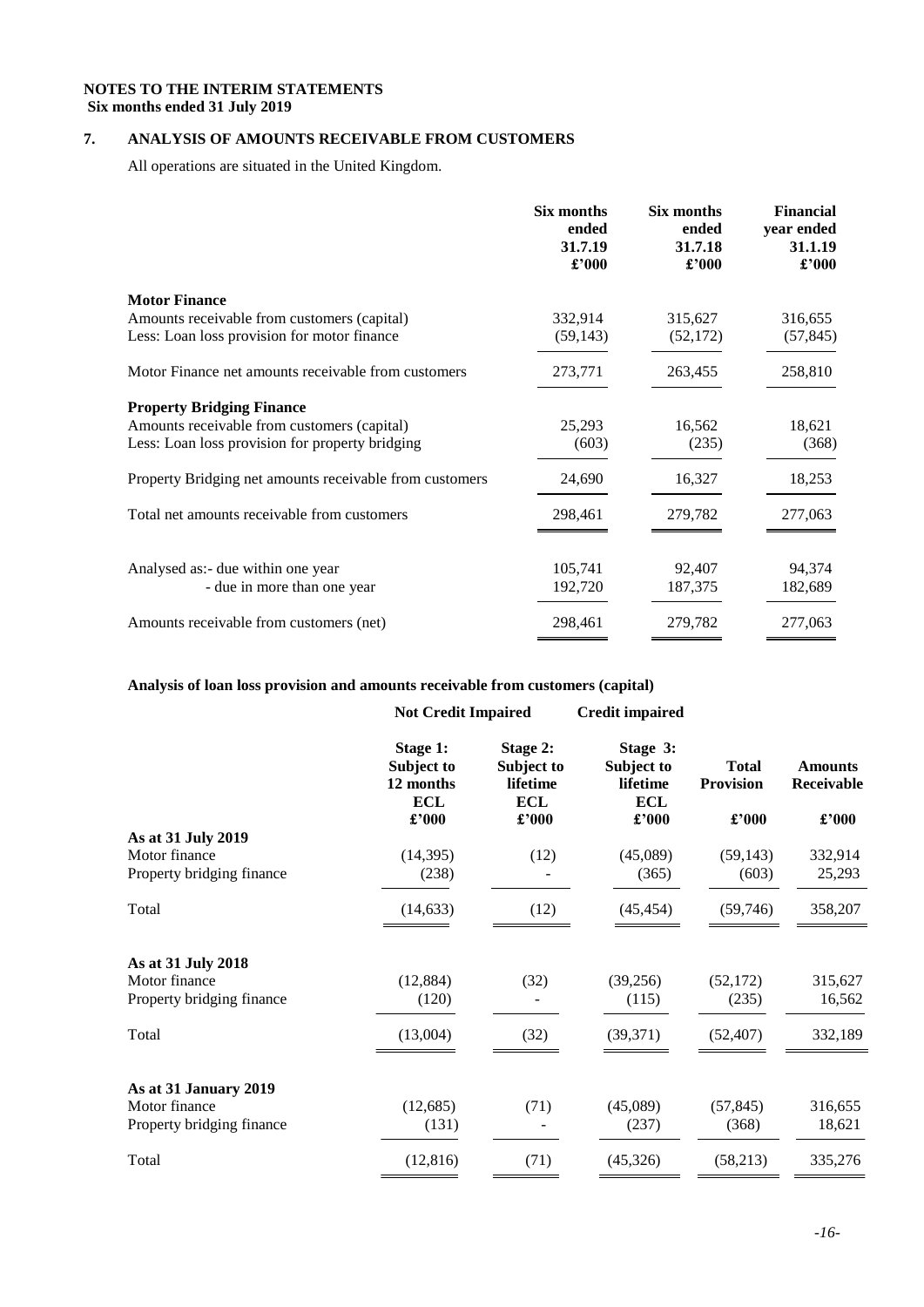# **7. ANALYSIS OF AMOUNTS RECEIVABLE FROM CUSTOMERS**

All operations are situated in the United Kingdom.

|                                                         | Six months<br>ended<br>31.7.19<br>£'000 | Six months<br>ended<br>31.7.18<br>£'000 | <b>Financial</b><br>year ended<br>31.1.19<br>£'000 |
|---------------------------------------------------------|-----------------------------------------|-----------------------------------------|----------------------------------------------------|
| <b>Motor Finance</b>                                    |                                         |                                         |                                                    |
| Amounts receivable from customers (capital)             | 332,914                                 | 315,627                                 | 316,655                                            |
| Less: Loan loss provision for motor finance             | (59, 143)                               | (52, 172)                               | (57, 845)                                          |
| Motor Finance net amounts receivable from customers     | 273,771                                 | 263,455                                 | 258,810                                            |
| <b>Property Bridging Finance</b>                        |                                         |                                         |                                                    |
| Amounts receivable from customers (capital)             | 25,293                                  | 16,562                                  | 18,621                                             |
| Less: Loan loss provision for property bridging         | (603)                                   | (235)                                   | (368)                                              |
| Property Bridging net amounts receivable from customers | 24,690                                  | 16,327                                  | 18,253                                             |
| Total net amounts receivable from customers             | 298,461                                 | 279,782                                 | 277,063                                            |
|                                                         |                                         |                                         |                                                    |
| Analysed as:- due within one year                       | 105,741                                 | 92,407                                  | 94,374                                             |
| - due in more than one year                             | 192,720                                 | 187,375                                 | 182,689                                            |
| Amounts receivable from customers (net)                 | 298,461                                 | 279,782                                 | 277,063                                            |

# **Analysis of loan loss provision and amounts receivable from customers (capital)**

|                           | <b>Not Credit Impaired</b>                                 |                                                           | <b>Credit impaired</b>                                    |                                           |                                       |
|---------------------------|------------------------------------------------------------|-----------------------------------------------------------|-----------------------------------------------------------|-------------------------------------------|---------------------------------------|
|                           | Stage 1:<br>Subject to<br>12 months<br><b>ECL</b><br>£'000 | Stage 2:<br>Subject to<br>lifetime<br><b>ECL</b><br>£'000 | Stage 3:<br>Subject to<br>lifetime<br><b>ECL</b><br>£'000 | <b>Total</b><br><b>Provision</b><br>£'000 | <b>Amounts</b><br>Receivable<br>£'000 |
| As at 31 July 2019        |                                                            |                                                           |                                                           |                                           |                                       |
| Motor finance             | (14, 395)                                                  | (12)                                                      | (45,089)                                                  | (59, 143)                                 | 332,914                               |
| Property bridging finance | (238)                                                      |                                                           | (365)                                                     | (603)                                     | 25,293                                |
| Total                     | (14, 633)                                                  | (12)                                                      | (45, 454)                                                 | (59,746)                                  | 358,207                               |
| As at 31 July 2018        |                                                            |                                                           |                                                           |                                           |                                       |
| Motor finance             | (12, 884)                                                  | (32)                                                      | (39,256)                                                  | (52, 172)                                 | 315,627                               |
| Property bridging finance | (120)                                                      |                                                           | (115)                                                     | (235)                                     | 16,562                                |
| Total                     | (13,004)                                                   | (32)                                                      | (39,371)                                                  | (52, 407)                                 | 332,189                               |
| As at 31 January 2019     |                                                            |                                                           |                                                           |                                           |                                       |
| Motor finance             | (12,685)                                                   | (71)                                                      | (45,089)                                                  | (57, 845)                                 | 316,655                               |
| Property bridging finance | (131)                                                      |                                                           | (237)                                                     | (368)                                     | 18,621                                |
| Total                     | (12, 816)                                                  | (71)                                                      | (45,326)                                                  | (58,213)                                  | 335,276                               |
|                           |                                                            |                                                           |                                                           |                                           |                                       |